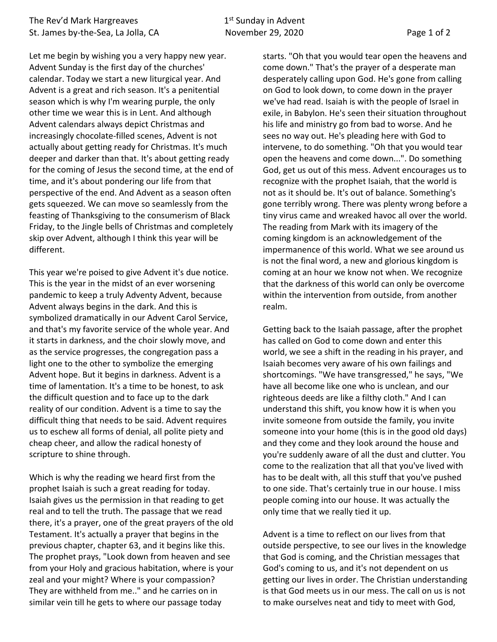Let me begin by wishing you a very happy new year. Advent Sunday is the first day of the churches' calendar. Today we start a new liturgical year. And Advent is a great and rich season. It's a penitential season which is why I'm wearing purple, the only other time we wear this is in Lent. And although Advent calendars always depict Christmas and increasingly chocolate-filled scenes, Advent is not actually about getting ready for Christmas. It's much deeper and darker than that. It's about getting ready for the coming of Jesus the second time, at the end of time, and it's about pondering our life from that perspective of the end. And Advent as a season often gets squeezed. We can move so seamlessly from the feasting of Thanksgiving to the consumerism of Black Friday, to the Jingle bells of Christmas and completely skip over Advent, although I think this year will be different.

This year we're poised to give Advent it's due notice. This is the year in the midst of an ever worsening pandemic to keep a truly Adventy Advent, because Advent always begins in the dark. And this is symbolized dramatically in our Advent Carol Service, and that's my favorite service of the whole year. And it starts in darkness, and the choir slowly move, and as the service progresses, the congregation pass a light one to the other to symbolize the emerging Advent hope. But it begins in darkness. Advent is a time of lamentation. It's a time to be honest, to ask the difficult question and to face up to the dark reality of our condition. Advent is a time to say the difficult thing that needs to be said. Advent requires us to eschew all forms of denial, all polite piety and cheap cheer, and allow the radical honesty of scripture to shine through.

Which is why the reading we heard first from the prophet Isaiah is such a great reading for today. Isaiah gives us the permission in that reading to get real and to tell the truth. The passage that we read there, it's a prayer, one of the great prayers of the old Testament. It's actually a prayer that begins in the previous chapter, chapter 63, and it begins like this. The prophet prays, "Look down from heaven and see from your Holy and gracious habitation, where is your zeal and your might? Where is your compassion? They are withheld from me.." and he carries on in similar vein till he gets to where our passage today

starts. "Oh that you would tear open the heavens and come down." That's the prayer of a desperate man desperately calling upon God. He's gone from calling on God to look down, to come down in the prayer we've had read. Isaiah is with the people of Israel in exile, in Babylon. He's seen their situation throughout his life and ministry go from bad to worse. And he sees no way out. He's pleading here with God to intervene, to do something. "Oh that you would tear open the heavens and come down...". Do something God, get us out of this mess. Advent encourages us to recognize with the prophet Isaiah, that the world is not as it should be. It's out of balance. Something's gone terribly wrong. There was plenty wrong before a tiny virus came and wreaked havoc all over the world. The reading from Mark with its imagery of the coming kingdom is an acknowledgement of the impermanence of this world. What we see around us is not the final word, a new and glorious kingdom is coming at an hour we know not when. We recognize that the darkness of this world can only be overcome within the intervention from outside, from another realm.

Getting back to the Isaiah passage, after the prophet has called on God to come down and enter this world, we see a shift in the reading in his prayer, and Isaiah becomes very aware of his own failings and shortcomings. "We have transgressed," he says, "We have all become like one who is unclean, and our righteous deeds are like a filthy cloth." And I can understand this shift, you know how it is when you invite someone from outside the family, you invite someone into your home (this is in the good old days) and they come and they look around the house and you're suddenly aware of all the dust and clutter. You come to the realization that all that you've lived with has to be dealt with, all this stuff that you've pushed to one side. That's certainly true in our house. I miss people coming into our house. It was actually the only time that we really tied it up.

Advent is a time to reflect on our lives from that outside perspective, to see our lives in the knowledge that God is coming, and the Christian messages that God's coming to us, and it's not dependent on us getting our lives in order. The Christian understanding is that God meets us in our mess. The call on us is not to make ourselves neat and tidy to meet with God,